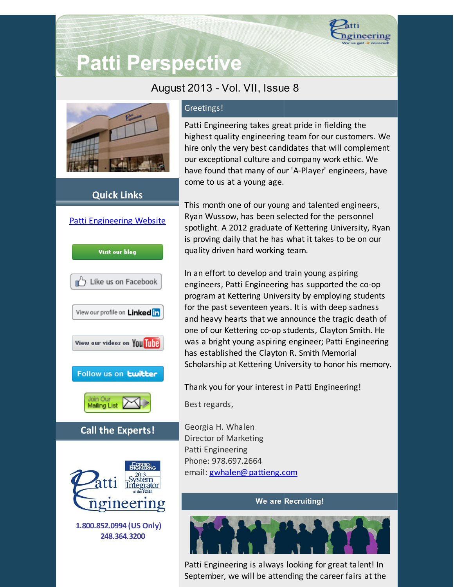

# **Patti Perspective**

## August 2013 - Vol. VII, Issue 8



## **Quick Links**



## Greetings!

Patti Engineering takes great pride in fielding the highest quality engineering team for our customers. We hire only the very best candidates that will complement our exceptional culture and company work ethic. We have found that many of our 'A-Player' engineers, have come to us at a young age.

This month one of our young and talented engineers, Ryan Wussow, has been selected for the personnel spotlight. A 2012 graduate of Kettering University, Ryan is proving daily that he has what it takes to be on our quality driven hard working team.

In an effort to develop and train young aspiring engineers, Patti Engineering has supported the co-op program at Kettering University by employing students for the past seventeen years. It is with deep sadness and heavy hearts that we announce the tragic death of one of our Kettering co-op students, Clayton Smith. He was a bright young aspiring engineer; Patti Engineering has established the Clayton R. Smith Memorial Scholarship at Kettering University to honor his memory.

Thank you for your interest in Patti Engineering! Best regards,

Georgia H. Whalen Director of Marketing Patti Engineering Phone: 978.697.2664 email: [gwhalen@pattieng.com](mailto:gwhalen@pattieng.com)

#### **We are Recruiting!**



Patti Engineering is always looking for great talent! In September, we will be attending the career fairs at the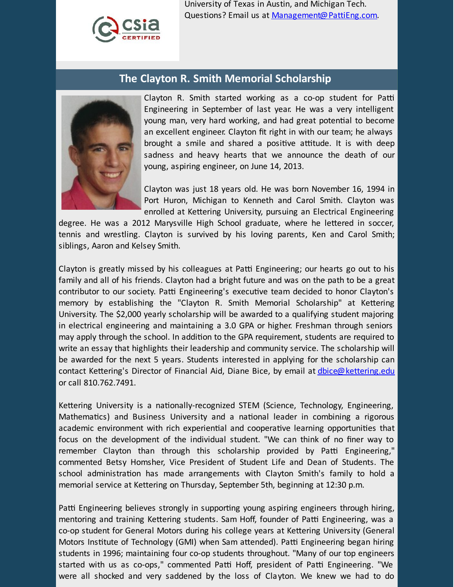

University of Texas in Austin, and Michigan Tech. Questions? Email us at [Management@PattiEng.com](mailto:management@pattieng.com).

## **The Clayton R. Smith Memorial Scholarship**



Clayton R. Smith started working as a co-op student for Patti Engineering in September of last year. He was a very intelligent young man, very hard working, and had great potential to become an excellent engineer. Clayton fit right in with our team; he always brought a smile and shared a positive attitude. It is with deep sadness and heavy hearts that we announce the death of our young, aspiring engineer, on June 14, 2013.

Clayton was just 18 years old. He was born November 16, 1994 in Port Huron, Michigan to Kenneth and Carol Smith. Clayton was enrolled at Kettering University, pursuing an Electrical Engineering

degree. He was a 2012 Marysville High School graduate, where he lettered in soccer, tennis and wrestling. Clayton is survived by his loving parents, Ken and Carol Smith; siblings, Aaron and Kelsey Smith.

Clayton is greatly missed by his colleagues at Patti Engineering; our hearts go out to his family and all of his friends. Clayton had a bright future and was on the path to be a great contributor to our society. Patti Engineering's executive team decided to honor Clayton's memory by establishing the "Clayton R. Smith Memorial Scholarship" at Kettering University. The \$2,000 yearly scholarship will be awarded to a qualifying student majoring in electrical engineering and maintaining a 3.0 GPA or higher. Freshman through seniors may apply through the school. In addition to the GPA requirement, students are required to write an essay that highlights their leadership and community service. The scholarship will be awarded for the next 5 years. Students interested in applying for the scholarship can contact Kettering's Director of Financial Aid, Diane Bice, by email at [dbice@kettering.edu](mailto:dbice@kettering.edu) or call 810.762.7491.

Kettering University is a nationally-recognized STEM (Science, Technology, Engineering, Mathematics) and Business University and a national leader in combining a rigorous academic environment with rich experiential and cooperative learning opportunities that focus on the development of the individual student. "We can think of no finer way to remember Clayton than through this scholarship provided by Patti Engineering," commented Betsy Homsher, Vice President of Student Life and Dean of Students. The school administration has made arrangements with Clayton Smith's family to hold a memorial service at Kettering on Thursday, September 5th, beginning at 12:30 p.m.

Patti Engineering believes strongly in supporting young aspiring engineers through hiring, mentoring and training Kettering students. Sam Hoff, founder of Patti Engineering, was a co-op student for General Motors during his college years at Kettering University (General Motors Institute of Technology (GMI) when Sam attended). Patti Engineering began hiring students in 1996; maintaining four co-op students throughout. "Many of our top engineers started with us as co-ops," commented Patti Hoff, president of Patti Engineering. "We were all shocked and very saddened by the loss of Clayton. We knew we had to do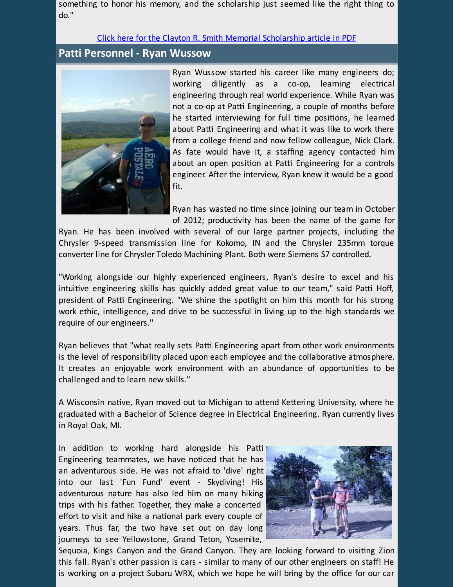something to honor his memory, and the scholarship just seemed like the right thing to do."

#### Click here for the Clayton R. Smith Memorial [Scholarship](http://library.constantcontact.com/doc205/1101449641109/doc/6i4au6JEluhYL0gb.pdf) article in PDF

### **Patti Personnel - Ryan Wussow**



Ryan Wussow started his career like many engineers do; working diligently as a co-op, learning electrical engineering through real world experience. While Ryan was not a co-op at Patti Engineering, a couple of months before he started interviewing for full time positions, he learned about Patti Engineering and what it was like to work there from a college friend and now fellow colleague, Nick Clark. As fate would have it, a staffing agency contacted him about an open position at Patti Engineering for a controls engineer. After the interview, Ryan knew it would be a good fit.

Ryan has wasted no time since joining our team in October of 2012; productivity has been the name of the game for

Ryan. He has been involved with several of our large partner projects, including the Chrysler 9-speed transmission line for Kokomo, IN and the Chrysler 235mm torque converter line for Chrysler Toledo Machining Plant. Both were Siemens S7 controlled.

"Working alongside our highly experienced engineers, Ryan's desire to excel and his intuitive engineering skills has quickly added great value to our team," said Patti Hoff, president of Patti Engineering. "We shine the spotlight on him this month for his strong work ethic, intelligence, and drive to be successful in living up to the high standards we require of our engineers."

Ryan believes that "what really sets Patti Engineering apart from other work environments is the level of responsibility placed upon each employee and the collaborative atmosphere. It creates an enjoyable work environment with an abundance of opportunities to be challenged and to learn new skills."

A Wisconsin native, Ryan moved out to Michigan to attend Kettering University, where he graduated with a Bachelor of Science degree in Electrical Engineering. Ryan currently lives in Royal Oak, MI.

In addition to working hard alongside his Patti Engineering teammates, we have noticed that he has an adventurous side. He was not afraid to 'dive' right into our last 'Fun Fund' event - Skydiving! His adventurous nature has also led him on many hiking trips with his father. Together, they make a concerted effort to visit and hike a national park every couple of years. Thus far, the two have set out on day long journeys to see Yellowstone, Grand Teton, Yosemite,



Sequoia, Kings Canyon and the Grand Canyon. They are looking forward to visiting Zion this fall. Ryan's other passion is cars - similar to many of our other engineers on staff! He is working on a project Subaru WRX, which we hope he will bring by the office for our car